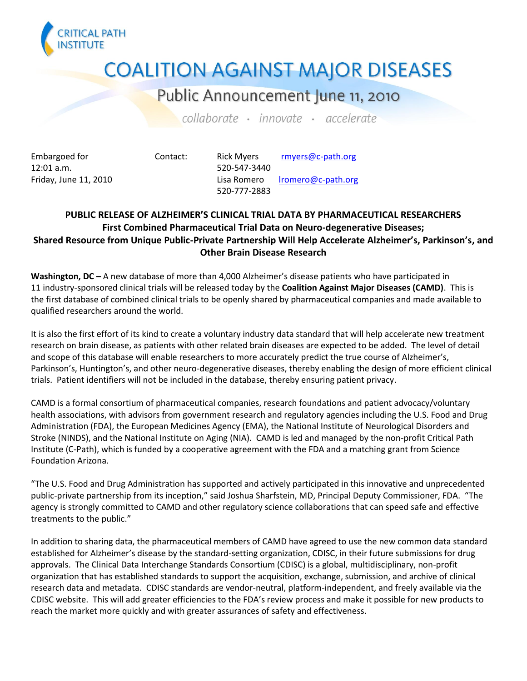

## **COALITION AGAINST MAJOR DISEASES**

## Public Announcement June 11, 2010

collaborate · innovate · accelerate

12:01 a.m. 520-547-3440

Embargoed for **Contact:** Rick Myers [rmyers@c-path.org](mailto:rmyers@c-path.org) Friday, June 11, 2010 **Lisa Romero** [lromero@c-path.org](mailto:lromero@c-path.org) 520-777-2883

## **PUBLIC RELEASE OF ALZHEIMER'S CLINICAL TRIAL DATA BY PHARMACEUTICAL RESEARCHERS First Combined Pharmaceutical Trial Data on Neuro-degenerative Diseases; Shared Resource from Unique Public-Private Partnership Will Help Accelerate Alzheimer's, Parkinson's, and Other Brain Disease Research**

**Washington, DC –** A new database of more than 4,000 Alzheimer's disease patients who have participated in 11 industry-sponsored clinical trials will be released today by the **Coalition Against Major Diseases (CAMD)**. This is the first database of combined clinical trials to be openly shared by pharmaceutical companies and made available to qualified researchers around the world.

It is also the first effort of its kind to create a voluntary industry data standard that will help accelerate new treatment research on brain disease, as patients with other related brain diseases are expected to be added. The level of detail and scope of this database will enable researchers to more accurately predict the true course of Alzheimer's, Parkinson's, Huntington's, and other neuro-degenerative diseases, thereby enabling the design of more efficient clinical trials. Patient identifiers will not be included in the database, thereby ensuring patient privacy.

CAMD is a formal consortium of pharmaceutical companies, research foundations and patient advocacy/voluntary health associations, with advisors from government research and regulatory agencies including the U.S. Food and Drug Administration (FDA), the European Medicines Agency (EMA), the National Institute of Neurological Disorders and Stroke (NINDS), and the National Institute on Aging (NIA). CAMD is led and managed by the non-profit Critical Path Institute (C-Path), which is funded by a cooperative agreement with the FDA and a matching grant from Science Foundation Arizona.

"The U.S. Food and Drug Administration has supported and actively participated in this innovative and unprecedented public-private partnership from its inception," said Joshua Sharfstein, MD, Principal Deputy Commissioner, FDA. "The agency is strongly committed to CAMD and other regulatory science collaborations that can speed safe and effective treatments to the public."

In addition to sharing data, the pharmaceutical members of CAMD have agreed to use the new common data standard established for Alzheimer's disease by the standard-setting organization, CDISC, in their future submissions for drug approvals. The Clinical Data Interchange Standards Consortium (CDISC) is a global, multidisciplinary, non-profit organization that has established standards to support the acquisition, exchange, submission, and archive of clinical research data and metadata. CDISC standards are vendor-neutral, platform-independent, and freely available via the CDISC website. This will add greater efficiencies to the FDA's review process and make it possible for new products to reach the market more quickly and with greater assurances of safety and effectiveness.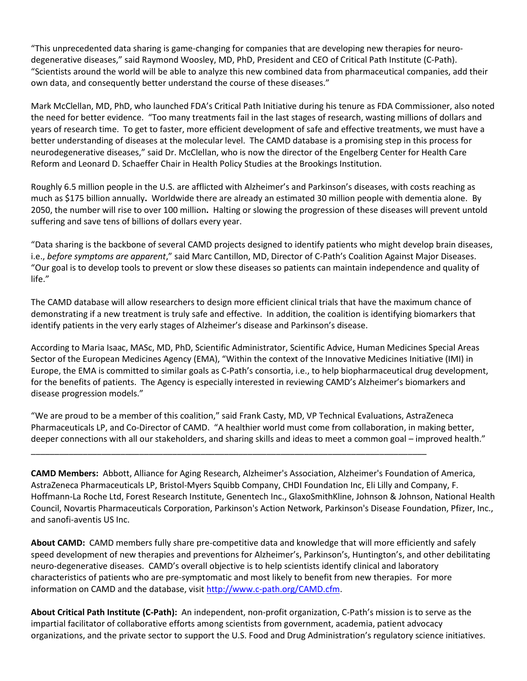"This unprecedented data sharing is game-changing for companies that are developing new therapies for neurodegenerative diseases," said Raymond Woosley, MD, PhD, President and CEO of Critical Path Institute (C-Path). "Scientists around the world will be able to analyze this new combined data from pharmaceutical companies, add their own data, and consequently better understand the course of these diseases."

Mark McClellan, MD, PhD, who launched FDA's Critical Path Initiative during his tenure as FDA Commissioner, also noted the need for better evidence. "Too many treatments fail in the last stages of research, wasting millions of dollars and years of research time. To get to faster, more efficient development of safe and effective treatments, we must have a better understanding of diseases at the molecular level. The CAMD database is a promising step in this process for neurodegenerative diseases," said Dr. McClellan, who is now the director of the Engelberg Center for Health Care Reform and Leonard D. Schaeffer Chair in Health Policy Studies at the Brookings Institution.

Roughly 6.5 million people in the U.S. are afflicted with Alzheimer's and Parkinson's diseases, with costs reaching as much as \$175 billion annually**.** Worldwide there are already an estimated 30 million people with dementia alone. By 2050, the number will rise to over 100 million**.** Halting or slowing the progression of these diseases will prevent untold suffering and save tens of billions of dollars every year.

"Data sharing is the backbone of several CAMD projects designed to identify patients who might develop brain diseases, i.e., *before symptoms are apparent*," said Marc Cantillon, MD, Director of C-Path's Coalition Against Major Diseases. "Our goal is to develop tools to prevent or slow these diseases so patients can maintain independence and quality of life."

The CAMD database will allow researchers to design more efficient clinical trials that have the maximum chance of demonstrating if a new treatment is truly safe and effective. In addition, the coalition is identifying biomarkers that identify patients in the very early stages of Alzheimer's disease and Parkinson's disease.

According to Maria Isaac, MASc, MD, PhD, Scientific Administrator, Scientific Advice, Human Medicines Special Areas Sector of the European Medicines Agency (EMA), "Within the context of the Innovative Medicines Initiative (IMI) in Europe, the EMA is committed to similar goals as C-Path's consortia, i.e., to help biopharmaceutical drug development, for the benefits of patients. The Agency is especially interested in reviewing CAMD's Alzheimer's biomarkers and disease progression models."

"We are proud to be a member of this coalition," said Frank Casty, MD, VP Technical Evaluations, AstraZeneca Pharmaceuticals LP, and Co-Director of CAMD. "A healthier world must come from collaboration, in making better, deeper connections with all our stakeholders, and sharing skills and ideas to meet a common goal – improved health."

\_\_\_\_\_\_\_\_\_\_\_\_\_\_\_\_\_\_\_\_\_\_\_\_\_\_\_\_\_\_\_\_\_\_\_\_\_\_\_\_\_\_\_\_\_\_\_\_\_\_\_\_\_\_\_\_\_\_\_\_\_\_\_\_\_\_\_\_\_\_\_\_\_\_\_\_\_\_\_\_\_\_\_\_

**CAMD Members:** Abbott, Alliance for Aging Research, Alzheimer's Association, Alzheimer's Foundation of America, AstraZeneca Pharmaceuticals LP, Bristol-Myers Squibb Company, CHDI Foundation Inc, Eli Lilly and Company, F. Hoffmann-La Roche Ltd, Forest Research Institute, Genentech Inc., GlaxoSmithKline, Johnson & Johnson, National Health Council, Novartis Pharmaceuticals Corporation, Parkinson's Action Network, Parkinson's Disease Foundation, Pfizer, Inc., and sanofi-aventis US Inc.

**About CAMD:** CAMD members fully share pre-competitive data and knowledge that will more efficiently and safely speed development of new therapies and preventions for Alzheimer's, Parkinson's, Huntington's, and other debilitating neuro-degenerative diseases. CAMD's overall objective is to help scientists identify clinical and laboratory characteristics of patients who are pre-symptomatic and most likely to benefit from new therapies. For more information on CAMD and the database, visit [http://www.c-path.org/CAMD.cfm.](http://www.c-path.org/CAMD.cfm)

**About Critical Path Institute (C-Path):** An independent, non-profit organization, C-Path's mission is to serve as the impartial facilitator of collaborative efforts among scientists from government, academia, patient advocacy organizations, and the private sector to support the U.S. Food and Drug Administration's regulatory science initiatives.